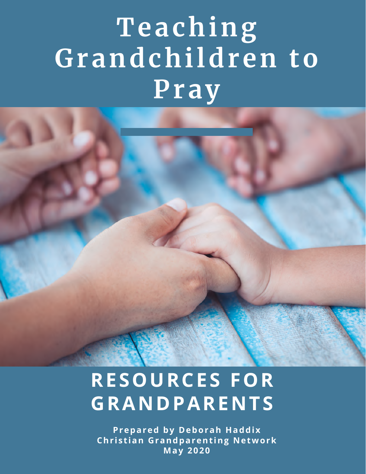# **Teaching Grandchildren to Pray**

## **RESOURCES FOR GRANDPARENTS**

**Prepared by Deborah Haddix Chr i s t ian Grandparent ing Network May 2020**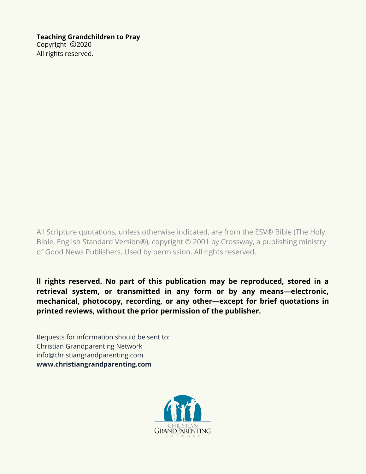#### **Teaching Grandchildren to Pray**

Copyright ©2020 All rights reserved.

All Scripture quotations, unless otherwise indicated, are from the ESV® Bible (The Holy Bible, English Standard Version®), copyright © 2001 by Crossway, a publishing ministry of Good News Publishers. Used by permission. All rights reserved.

**ll rights reserved. No part of this publication may be reproduced, stored in a retrieval system, or transmitted in any form or by any means—electronic, mechanical, photocopy, recording, or any other—except for brief quotations in printed reviews, without the prior permission of the publisher.**

Requests for information should be sent to: Christian Grandparenting Network info@christiangrandparenting.com **[www.christiangrandparenting.com](https://christiangrandparenting.com/)**

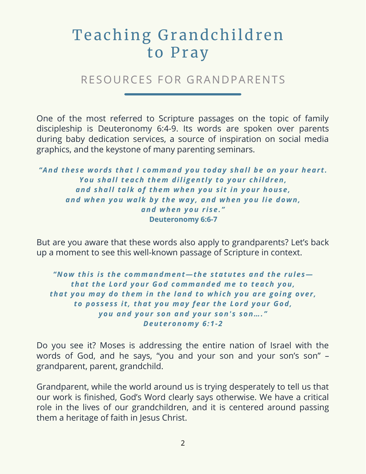### Teaching Grandchildren to Pray

#### RESOURCES FOR GRANDPARENTS

One of the most referred to Scripture passages on the topic of family discipleship is Deuteronomy 6:4-9. Its words are spoken over parents during baby dedication services, a source of inspiration on social media graphics, and the keystone of many parenting seminars.

*"And these words that I command you today shall be on your hear t . You shall teach them diligent l y to your children, and shall talk of them when you s i t in your house, and when you walk by the way , and when you lie down, and when you r i se. "* **Deuteronomy 6:6-7**

But are you aware that these words also apply to grandparents? Let's back up a moment to see this well-known passage of Scripture in context.

*"Now thi s i s the commandment—the s tatutes and the rules that the Lord your God commanded me to teach you, that you may do them in the land to whi ch you are going over , to pos ses s i t , that you may fear the Lord your God, you and your son and your son' s son…. " Deuteronomy 6:1-2*

Do you see it? Moses is addressing the entire nation of Israel with the words of God, and he says, "you and your son and your son's son" – grandparent, parent, grandchild.

Grandparent, while the world around us is trying desperately to tell us that our work is finished, God's Word clearly says otherwise. We have a critical role in the lives of our grandchildren, and it is centered around passing them a heritage of faith in Jesus Christ.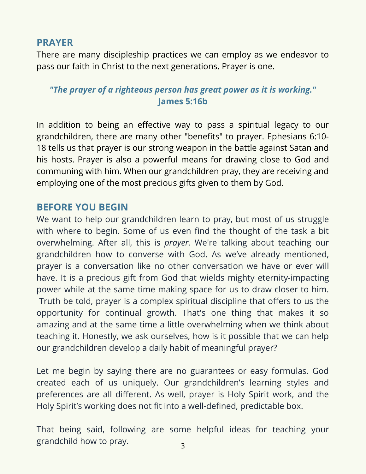#### **PRAYER**

There are many discipleship practices we can employ as we endeavor to pass our faith in Christ to the next generations. Prayer is one.

#### *"The prayer of a righteous person has great power as it is working."* **James 5:16b**

In addition to being an effective way to pass a spiritual legacy to our grandchildren, there are many other "benefits" to prayer. Ephesians 6:10- 18 tells us that prayer is our strong weapon in the battle against Satan and his hosts. Prayer is also a powerful means for drawing close to God and communing with him. When our grandchildren pray, they are receiving and employing one of the most precious gifts given to them by God.

#### **BEFORE YOU BEGIN**

We want to help our grandchildren learn to pray, but most of us struggle with where to begin. Some of us even find the thought of the task a bit overwhelming. After all, this is *prayer.* We're talking about teaching our grandchildren how to converse with God. As we've already mentioned, prayer is a conversation like no other conversation we have or ever will have. It is a precious gift from God that wields mighty eternity-impacting power while at the same time making space for us to draw closer to him. Truth be told, prayer is a complex spiritual discipline that offers to us the opportunity for continual growth. That's one thing that makes it so amazing and at the same time a little overwhelming when we think about teaching it. Honestly, we ask ourselves, how is it possible that we can help our grandchildren develop a daily habit of meaningful prayer?

Let me begin by saying there are no guarantees or easy formulas. God created each of us uniquely. Our grandchildren's learning styles and preferences are all different. As well, prayer is Holy Spirit work, and the Holy Spirit's working does not fit into a well-defined, predictable box.

That being said, following are some helpful ideas for teaching your grandchild how to pray.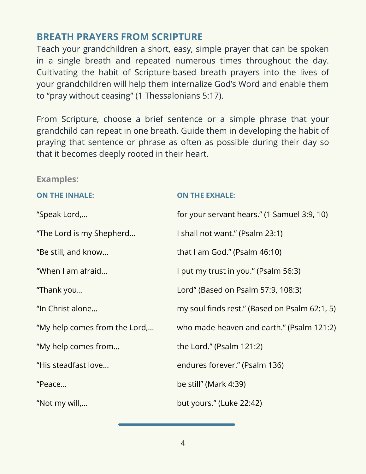#### **BREATH PRAYERS FROM SCRIPTURE**

Teach your grandchildren a short, easy, simple prayer that can be spoken in a single breath and repeated numerous times throughout the day. Cultivating the habit of Scripture-based breath prayers into the lives of your grandchildren will help them internalize God's Word and enable them to "pray without ceasing" (1 Thessalonians 5:17).

From Scripture, choose a brief sentence or a simple phrase that your grandchild can repeat in one breath. Guide them in developing the habit of praying that sentence or phrase as often as possible during their day so that it becomes deeply rooted in their heart.

#### **Examples:**

| <b>ON THE INHALE:</b>         | <b>ON THE EXHALE:</b>                         |
|-------------------------------|-----------------------------------------------|
| "Speak Lord,                  | for your servant hears." (1 Samuel 3:9, 10)   |
| "The Lord is my Shepherd      | I shall not want." (Psalm 23:1)               |
| "Be still, and know           | that I am God." (Psalm $46:10$ )              |
| "When I am afraid             | I put my trust in you." (Psalm 56:3)          |
| "Thank you                    | Lord" (Based on Psalm 57:9, 108:3)            |
| "In Christ alone              | my soul finds rest." (Based on Psalm 62:1, 5) |
| "My help comes from the Lord, | who made heaven and earth." (Psalm 121:2)     |
| "My help comes from           | the Lord." (Psalm 121:2)                      |
| "His steadfast love           | endures forever." (Psalm 136)                 |
| "Peace                        | be still" (Mark 4:39)                         |
| "Not my will,                 | but yours." (Luke 22:42)                      |
|                               |                                               |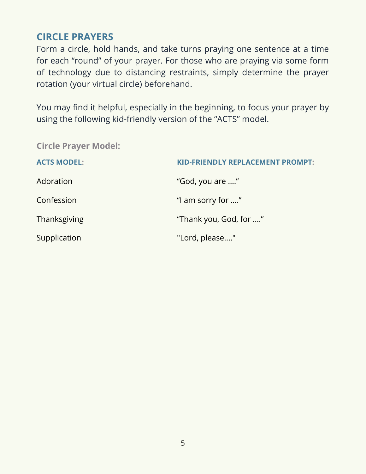#### **CIRCLE PRAYERS**

Form a circle, hold hands, and take turns praying one sentence at a time for each "round" of your prayer. For those who are praying via some form of technology due to distancing restraints, simply determine the prayer rotation (your virtual circle) beforehand.

You may find it helpful, especially in the beginning, to focus your prayer by using the following kid-friendly version of the "ACTS" model.

**Circle Prayer Model:**

| <b>ACTS MODEL:</b> | <b>KID-FRIENDLY REPLACEMENT PROMPT:</b> |
|--------------------|-----------------------------------------|
| Adoration          | "God, you are "                         |
| Confession         | "I am sorry for "                       |
| Thanksgiving       | "Thank you, God, for "                  |
| Supplication       | "Lord, please"                          |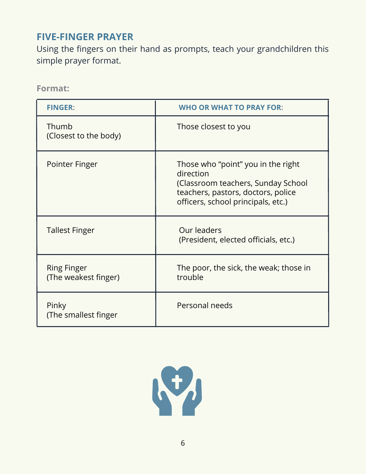#### **FIVE-FINGER PRAYER**

Using the fingers on their hand as prompts, teach your grandchildren this simple prayer format.

**Format:**

| <b>FINGER:</b>                             | <b>WHO OR WHAT TO PRAY FOR:</b>                                                                                                                                   |
|--------------------------------------------|-------------------------------------------------------------------------------------------------------------------------------------------------------------------|
| Thumb<br>(Closest to the body)             | Those closest to you                                                                                                                                              |
| Pointer Finger                             | Those who "point" you in the right<br>direction<br>(Classroom teachers, Sunday School<br>teachers, pastors, doctors, police<br>officers, school principals, etc.) |
| <b>Tallest Finger</b>                      | Our leaders<br>(President, elected officials, etc.)                                                                                                               |
| <b>Ring Finger</b><br>(The weakest finger) | The poor, the sick, the weak; those in<br>trouble                                                                                                                 |
| Pinky<br>(The smallest finger              | Personal needs                                                                                                                                                    |

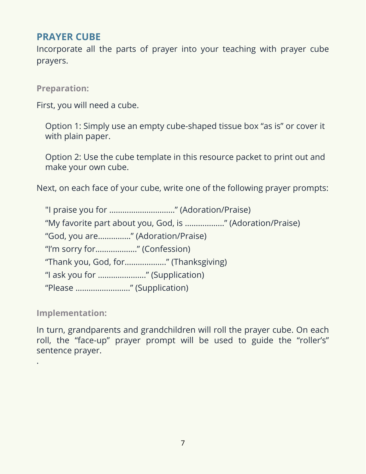#### **PRAYER CUBE**

Incorporate all the parts of prayer into your teaching with prayer cube prayers.

**Preparation:**

First, you will need a cube.

Option 1: Simply use an empty cube-shaped tissue box "as is" or cover it with plain paper.

Option 2: Use the cube template in this resource packet to print out and make your own cube.

Next, on each face of your cube, write one of the following prayer prompts:

"I praise you for …………………………" (Adoration/Praise) "My favorite part about you, God, is ………………" (Adoration/Praise) "God, you are……………" (Adoration/Praise) "I'm sorry for………………." (Confession) "Thank you, God, for………………." (Thanksgiving) "I ask you for …………………." (Supplication) "Please ……………………." (Supplication)

**Implementation:**

.

In turn, grandparents and grandchildren will roll the prayer cube. On each roll, the "face-up" prayer prompt will be used to guide the "roller's" sentence prayer.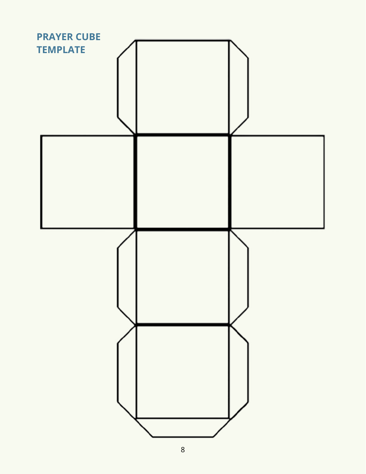